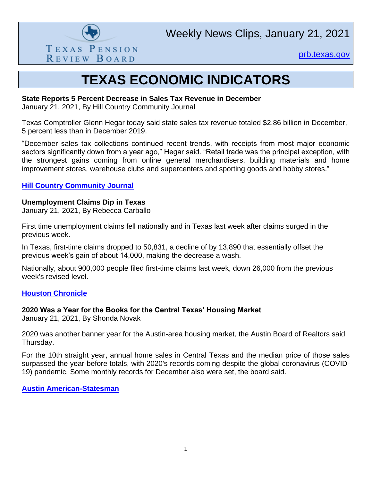

[prb.texas.gov](http://www.prb.texas.gov/)

## **TEXAS ECONOMIC INDICATORS**

#### **State Reports 5 Percent Decrease in Sales Tax Revenue in December**

January 21, 2021, By Hill Country Community Journal

Texas Comptroller Glenn Hegar today said state sales tax revenue totaled \$2.86 billion in December, 5 percent less than in December 2019.

"December sales tax collections continued recent trends, with receipts from most major economic sectors significantly down from a year ago," Hegar said. "Retail trade was the principal exception, with the strongest gains coming from online general merchandisers, building materials and home improvement stores, warehouse clubs and supercenters and sporting goods and hobby stores."

#### **[Hill Country Community Journal](https://www.hccommunityjournal.com/article_88e8a65e-551a-11eb-a137-2b409617a7d9.html)**

#### **Unemployment Claims Dip in Texas**

January 21, 2021, By Rebecca Carballo

First time unemployment claims fell nationally and in Texas last week after claims surged in the previous week.

In Texas, first-time claims dropped to 50,831, a decline of by 13,890 that essentially offset the previous week's gain of about 14,000, making the decrease a wash.

Nationally, about 900,000 people filed first-time claims last week, down 26,000 from the previous week's revised level.

#### **[Houston Chronicle](https://www.houstonchronicle.com/business/economy/article/Unemployment-claims-dip-in-Texas-15887234.php)**

### **2020 Was a Year for the Books for the Central Texas' Housing Market**

January 21, 2021, By Shonda Novak

2020 was another banner year for the Austin-area housing market, the Austin Board of Realtors said Thursday.

For the 10th straight year, annual home sales in Central Texas and the median price of those sales surpassed the year-before totals, with 2020's records coming despite the global coronavirus (COVID-19) pandemic. Some monthly records for December also were set, the board said.

**[Austin American-Statesman](https://www.statesman.com/story/business/2021/01/21/central-texas-housing-market-2020-record-home-sales-year-pandemic/4160628001/)**